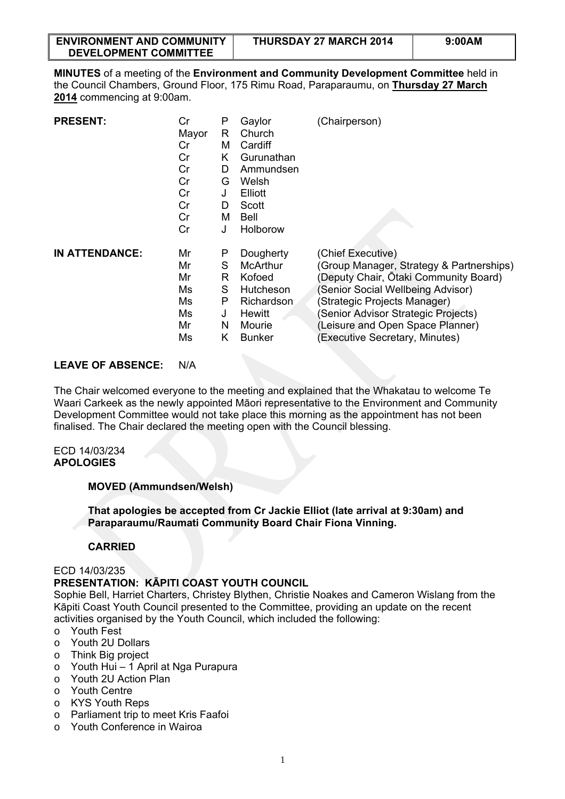| <b>ENVIRONMENT AND COMMUNITY</b> | <b>THURSDAY 27 MARCH 2014</b> | 9:00AM |
|----------------------------------|-------------------------------|--------|
| <b>DEVELOPMENT COMMITTEE</b>     |                               |        |

**MINUTES** of a meeting of the **Environment and Community Development Committee** held in the Council Chambers, Ground Floor, 175 Rimu Road, Paraparaumu, on **Thursday 27 March 2014** commencing at 9:00am.

| <b>PRESENT:</b>       | Cr<br>Mayor<br>Cr<br>Cr<br>Cr<br>Cr<br>Cr<br>Cr<br>Cr<br>Cr | P<br>R<br>м<br>Κ<br>D<br>G<br>J<br>D<br>м<br>J | Gaylor<br>Church<br>Cardiff<br>Gurunathan<br>Ammundsen<br>Welsh<br>Elliott<br>Scott<br>Bell<br>Holborow | (Chairperson)                            |
|-----------------------|-------------------------------------------------------------|------------------------------------------------|---------------------------------------------------------------------------------------------------------|------------------------------------------|
| <b>IN ATTENDANCE:</b> | Mr                                                          | P                                              | Dougherty                                                                                               | (Chief Executive)                        |
|                       | Mr                                                          | S                                              | McArthur                                                                                                | (Group Manager, Strategy & Partnerships) |
|                       | Mr                                                          | R                                              | Kofoed                                                                                                  | (Deputy Chair, Ōtaki Community Board)    |
|                       | Ms                                                          | S                                              | Hutcheson                                                                                               | (Senior Social Wellbeing Advisor)        |
|                       | Ms                                                          | P                                              | Richardson                                                                                              | (Strategic Projects Manager)             |
|                       | Ms                                                          | J                                              | Hewitt                                                                                                  | (Senior Advisor Strategic Projects)      |
|                       | Mr                                                          | N                                              | Mourie                                                                                                  | (Leisure and Open Space Planner)         |
|                       | Ms                                                          | Κ                                              | <b>Bunker</b>                                                                                           | (Executive Secretary, Minutes)           |

# **LEAVE OF ABSENCE:** N/A

The Chair welcomed everyone to the meeting and explained that the Whakatau to welcome Te Waari Carkeek as the newly appointed Māori representative to the Environment and Community Development Committee would not take place this morning as the appointment has not been finalised. The Chair declared the meeting open with the Council blessing.

#### ECD 14/03/234 **APOLOGIES**

#### **MOVED (Ammundsen/Welsh)**

**That apologies be accepted from Cr Jackie Elliot (late arrival at 9:30am) and Paraparaumu/Raumati Community Board Chair Fiona Vinning.** 

# **CARRIED**

#### ECD 14/03/235

# **PRESENTATION: KĀPITI COAST YOUTH COUNCIL**

Sophie Bell, Harriet Charters, Christey Blythen, Christie Noakes and Cameron Wislang from the Kāpiti Coast Youth Council presented to the Committee, providing an update on the recent activities organised by the Youth Council, which included the following:

- o Youth Fest
- o Youth 2U Dollars
- o Think Big project
- o Youth Hui 1 April at Nga Purapura
- o Youth 2U Action Plan
- o Youth Centre
- o KYS Youth Reps
- o Parliament trip to meet Kris Faafoi
- o Youth Conference in Wairoa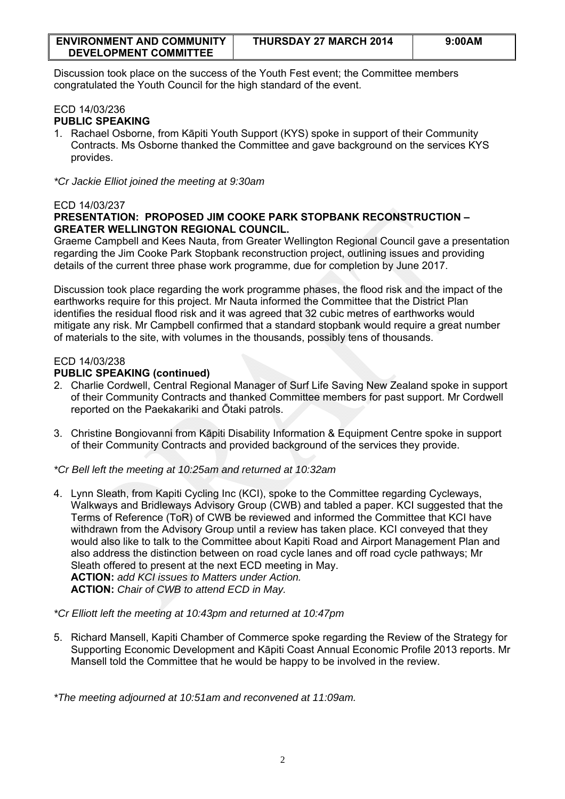| <b>ENVIRONMENT AND COMMUNITY</b> | THURSDAY 27 MARCH 2014 | 9:00AM |
|----------------------------------|------------------------|--------|
| <b>DEVELOPMENT COMMITTEE</b>     |                        |        |

Discussion took place on the success of the Youth Fest event; the Committee members congratulated the Youth Council for the high standard of the event.

#### ECD 14/03/236 **PUBLIC SPEAKING**

1. Rachael Osborne, from Kāpiti Youth Support (KYS) spoke in support of their Community Contracts. Ms Osborne thanked the Committee and gave background on the services KYS provides.

*\*Cr Jackie Elliot joined the meeting at 9:30am* 

# ECD 14/03/237

# **PRESENTATION: PROPOSED JIM COOKE PARK STOPBANK RECONSTRUCTION – GREATER WELLINGTON REGIONAL COUNCIL.**

Graeme Campbell and Kees Nauta, from Greater Wellington Regional Council gave a presentation regarding the Jim Cooke Park Stopbank reconstruction project, outlining issues and providing details of the current three phase work programme, due for completion by June 2017.

Discussion took place regarding the work programme phases, the flood risk and the impact of the earthworks require for this project. Mr Nauta informed the Committee that the District Plan identifies the residual flood risk and it was agreed that 32 cubic metres of earthworks would mitigate any risk. Mr Campbell confirmed that a standard stopbank would require a great number of materials to the site, with volumes in the thousands, possibly tens of thousands.

# ECD 14/03/238

# **PUBLIC SPEAKING (continued)**

- 2. Charlie Cordwell, Central Regional Manager of Surf Life Saving New Zealand spoke in support of their Community Contracts and thanked Committee members for past support. Mr Cordwell reported on the Paekakariki and Ōtaki patrols.
- 3. Christine Bongiovanni from Kāpiti Disability Information & Equipment Centre spoke in support of their Community Contracts and provided background of the services they provide.

*\*Cr Bell left the meeting at 10:25am and returned at 10:32am*

4. Lynn Sleath, from Kapiti Cycling Inc (KCI), spoke to the Committee regarding Cycleways, Walkways and Bridleways Advisory Group (CWB) and tabled a paper. KCI suggested that the Terms of Reference (ToR) of CWB be reviewed and informed the Committee that KCI have withdrawn from the Advisory Group until a review has taken place. KCI conveyed that they would also like to talk to the Committee about Kapiti Road and Airport Management Plan and also address the distinction between on road cycle lanes and off road cycle pathways; Mr Sleath offered to present at the next ECD meeting in May. **ACTION:** *add KCI issues to Matters under Action.* **ACTION:** *Chair of CWB to attend ECD in May.* 

*\*Cr Elliott left the meeting at 10:43pm and returned at 10:47pm* 

5. Richard Mansell, Kapiti Chamber of Commerce spoke regarding the Review of the Strategy for Supporting Economic Development and Kāpiti Coast Annual Economic Profile 2013 reports. Mr Mansell told the Committee that he would be happy to be involved in the review.

*\*The meeting adjourned at 10:51am and reconvened at 11:09am.*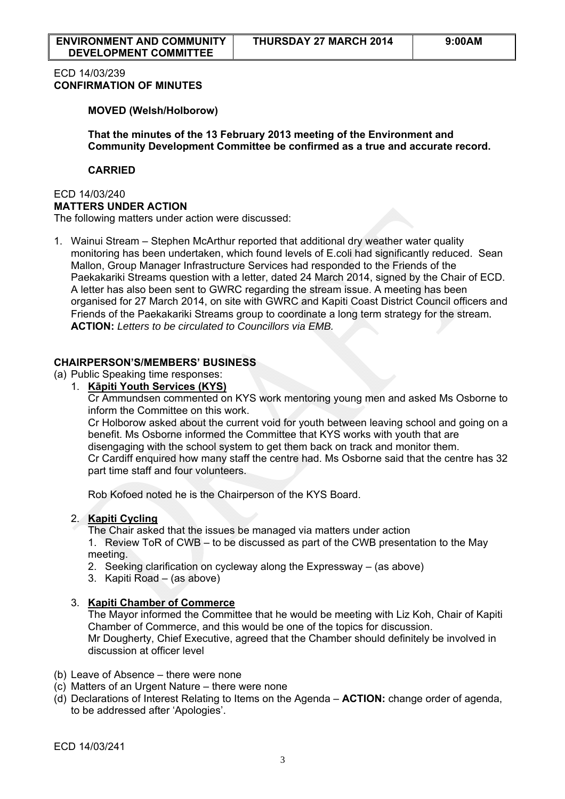# ECD 14/03/239 **CONFIRMATION OF MINUTES**

**MOVED (Welsh/Holborow)** 

**That the minutes of the 13 February 2013 meeting of the Environment and Community Development Committee be confirmed as a true and accurate record.** 

#### **CARRIED**

#### ECD 14/03/240 **MATTERS UNDER ACTION**

The following matters under action were discussed:

1. Wainui Stream – Stephen McArthur reported that additional dry weather water quality monitoring has been undertaken, which found levels of E.coli had significantly reduced. Sean Mallon, Group Manager Infrastructure Services had responded to the Friends of the Paekakariki Streams question with a letter, dated 24 March 2014, signed by the Chair of ECD. A letter has also been sent to GWRC regarding the stream issue. A meeting has been organised for 27 March 2014, on site with GWRC and Kapiti Coast District Council officers and Friends of the Paekakariki Streams group to coordinate a long term strategy for the stream. **ACTION:** *Letters to be circulated to Councillors via EMB.*

# **CHAIRPERSON'S/MEMBERS' BUSINESS**

(a) Public Speaking time responses:

1. **Kāpiti Youth Services (KYS)** 

Cr Ammundsen commented on KYS work mentoring young men and asked Ms Osborne to inform the Committee on this work.

Cr Holborow asked about the current void for youth between leaving school and going on a benefit. Ms Osborne informed the Committee that KYS works with youth that are disengaging with the school system to get them back on track and monitor them. Cr Cardiff enquired how many staff the centre had. Ms Osborne said that the centre has 32 part time staff and four volunteers.

Rob Kofoed noted he is the Chairperson of the KYS Board.

# 2. **Kapiti Cycling**

The Chair asked that the issues be managed via matters under action

1. Review ToR of CWB – to be discussed as part of the CWB presentation to the May meeting.

- 2. Seeking clarification on cycleway along the Expressway (as above)
- 3. Kapiti Road (as above)

# 3. **Kapiti Chamber of Commerce**

The Mayor informed the Committee that he would be meeting with Liz Koh, Chair of Kapiti Chamber of Commerce, and this would be one of the topics for discussion. Mr Dougherty, Chief Executive, agreed that the Chamber should definitely be involved in discussion at officer level

- (b) Leave of Absence there were none
- (c) Matters of an Urgent Nature there were none
- (d) Declarations of Interest Relating to Items on the Agenda **ACTION:** change order of agenda, to be addressed after 'Apologies'.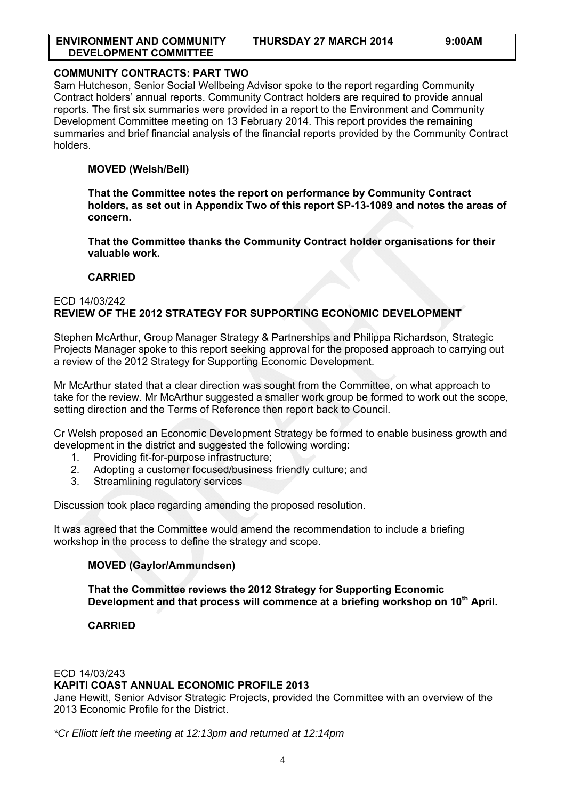| <b>ENVIRONMENT AND COMMUNITY</b> | THURSDAY 27 MARCH 2014 | 9:00AM |
|----------------------------------|------------------------|--------|
| DEVELOPMENT COMMITTEE            |                        |        |

# **[COMMUNITY CONTRACTS: PART TWO](http://www.kapiticoast.govt.nz/Documents/Meetings/Current/Environmental%20and%20Community%20Development%20Committee%20(ECD)/2014/1316%2003%2027%20March%202014/1316-03-ECD-OR-Community-Contracts-Part-Two-SP-14-1127.pdf)**

Sam Hutcheson, Senior Social Wellbeing Advisor spoke to the report regarding Community Contract holders' annual reports. Community Contract holders are required to provide annual reports. The first six summaries were provided in a report to the Environment and Community Development Committee meeting on 13 February 2014. This report provides the remaining summaries and brief financial analysis of the financial reports provided by the Community Contract holders.

#### **MOVED (Welsh/Bell)**

**That the Committee notes the report on performance by Community Contract holders, as set out in Appendix Two of this report SP-13-1089 and notes the areas of concern.** 

**That the Committee thanks the Community Contract holder organisations for their valuable work.** 

#### **CARRIED**

#### ECD 14/03/242 **REVIEW OF THE 2012 STRATEGY FOR SUPPORTING ECONOMIC DEVELOPMENT**

Stephen McArthur, Group Manager Strategy & Partnerships and Philippa Richardson, Strategic Projects Manager spoke to this report seeking approval for the proposed approach to carrying out a review of the 2012 Strategy for Supporting Economic Development.

Mr McArthur stated that a clear direction was sought from the Committee, on what approach to take for the review. Mr McArthur suggested a smaller work group be formed to work out the scope, setting direction and the Terms of Reference then report back to Council.

Cr Welsh proposed an Economic Development Strategy be formed to enable business growth and development in the district and suggested the following wording:

- 1. Providing fit-for-purpose infrastructure;
- 2. Adopting a customer focused/business friendly culture; and
- 3. Streamlining regulatory services

Discussion took place regarding amending the proposed resolution.

It was agreed that the Committee would amend the recommendation to include a briefing workshop in the process to define the strategy and scope.

# **MOVED (Gaylor/Ammundsen)**

**That the Committee reviews the 2012 Strategy for Supporting Economic**  Development and that process will commence at a briefing workshop on 10<sup>th</sup> April.

# **CARRIED**

#### ECD 14/03/243 **KAPITI COAST ANNUAL ECONOMIC PROFILE 2013**

Jane Hewitt, Senior Advisor Strategic Projects, provided the Committee with an overview of the 2013 Economic Profile for the District.

*\*Cr Elliott left the meeting at 12:13pm and returned at 12:14pm*